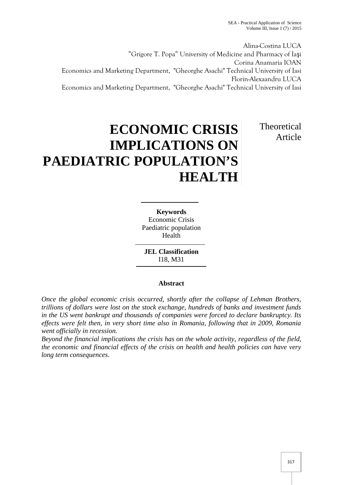Alina-Costina LUCA "Grigore T. Popa" University of Medicine and Pharmacy of Iaşi Corina Anamaria IOAN Economics and Marketing Department, "Gheorghe Asachi" Technical University of Iasi Florin-Alexaandru LUCA Economics and Marketing Department, "Gheorghe Asachi" Technical University of Iasi

## **ECONOMIC CRISIS IMPLICATIONS ON PAEDIATRIC POPULATION'S HEALTH**

Theoretical Article

**Keywords** Economic Crisis Paediatric population Health

**JEL Classification** I18, M31

## **Abstract**

*Once the global economic crisis occurred, shortly after the collapse of Lehman Brothers, trillions of dollars were lost on the stock exchange, hundreds of banks and investment funds in the US went bankrupt and thousands of companies were forced to declare bankruptcy. Its effects were felt then, in very short time also in Romania, following that in 2009, Romania went officially in recession.*

*Beyond the financial implications the crisis has on the whole activity, regardless of the field, the economic and financial effects of the crisis on health and health policies can have very long term consequences*.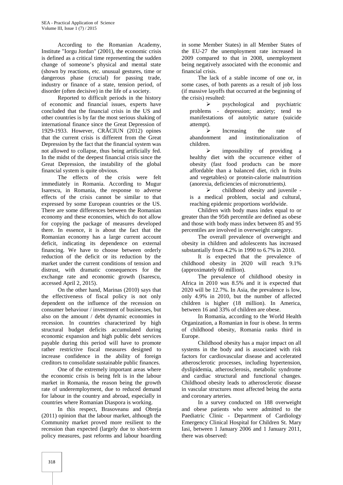According to the Romanian Academy, Institute "Iorgu Jordan" (2001), the economic crisis is defined as a critical time representing the sudden change of someone's physical and mental state (shown by reactions, etc. unusual gestures, time or dangerous phase (crucial) for passing trade, industry or finance of a state, tension period, of disorder (often decisive) in the life of a society.

Reported to difficult periods in the history of economic and financial issues, experts have concluded that the financial crisis in the US and other countries is by far the most serious shaking of international finance since the Great Depression of 1929-1933. However, CR CIUN (2012) opines that the current crisis is different from the Great Depression by the fact that the financial system was not allowed to collapse, thus being artificially fed. In the midst of the deepest financial crisis since the Great Depression, the instability of the global financial system is quite obvious.

The effects of the crisis were felt immediately in Romania. According to Mugur Isarescu, in Romania, the response to adverse effects of the crisis cannot be similar to that expressed by some European countries or the US. There are some differences between the Romanian economy and these economies, which do not allow for copying the package of measures developed there. In essence, it is about the fact that the Romanian economy has a large current account deficit, indicating its dependence on external financing. We have to choose between orderly reduction of the deficit or its reduction by the market under the current conditions of tension and distrust, with dramatic consequences for the exchange rate and economic growth (Isarescu, accessed April 2, 2015).

On the other hand, Marinas (2010) says that the effectiveness of fiscal policy is not only dependent on the influence of the recession on consumer behaviour / investment of businesses, but also on the amount / debt dynamic economies in recession. In countries characterized by high structural budget deficits accumulated during economic expansion and high public debt services payable during this period will have to promote rather restrictive fiscal measures designed to increase confidence in the ability of foreign creditors to consolidate sustainable public finances.

One of the extremely important areas where the economic crisis is being felt is in the labour market in Romania, the reason being the growth rate of underemployment, due to reduced demand for labour in the country and abroad, especially in countries where Romanian Diaspora is working.

In this respect, Brasoveanu and Obreja (2011) opinion that the labour market, although the Community market proved more resilient to the recession than expected (largely due to short-term policy measures, past reforms and labour hoarding

in some Member States) in all Member States of the EU-27 the unemployment rate increased in 2009 compared to that in 2008, unemployment being negatively associated with the economic and financial crisis.

The lack of a stable income of one or, in some cases, of both parents as a result of job loss (if massive layoffs that occurred at the beginning of the crisis) resulted:

 $\triangleright$  psychological and psychiatric problems - depression; anxiety; tend to manifestations of autolytic nature (suicide attempt).

 $\triangleright$  Increasing the rate of abandonment and institutionalization of children.

 impossibility of providing a healthy diet with the occurrence either of obesity (fast food products can be more affordable than a balanced diet, rich in fruits and vegetables) or protein-calorie malnutrition (anorexia, deficiencies of micronutrients*).*

 $\triangleright$  childhood obesity and juvenile is a medical problem, social and cultural, reaching epidemic proportions worldwide.

Children with body mass index equal to or greater than the 95th percentile are defined as obese and those with body mass index between 85 and 95 percentiles are involved in overweight category.

The overall prevalence of overweight and obesity in children and adolescents has increased substantially from 4.2% in 1990 to 6.7% in 2010.

It is expected that the prevalence of childhood obesity in 2020 will reach 9.1% (approximately 60 million).

The prevalence of childhood obesity in Africa in 2010 was 8.5% and it is expected that 2020 will be 12.7%. In Asia, the prevalence is low, only 4.9% in 2010, but the number of affected children is higher (18 million). In America, between 16 and 33% of children are obese.

In Romania, according to the World Health Organization, a Romanian in four is obese. In terms of childhood obesity, Romania ranks third in Europe.

Childhood obesity has a major impact on all systems in the body and is associated with risk factors for cardiovascular disease and accelerated atherosclerotic processes, including hypertension, dyslipidemia, atherosclerosis, metabolic syndrome and cardiac structural and functional changes. Childhood obesity leads to atherosclerotic disease in vascular structures most affected being the aorta and coronary arteries.

In a survey conducted on 188 overweight and obese patients who were admitted to the Paediatric Clinic - Department of Cardiology Emergency Clinical Hospital for Children St. Mary Iasi, between 1 January 2006 and 1 January 2011, there was observed: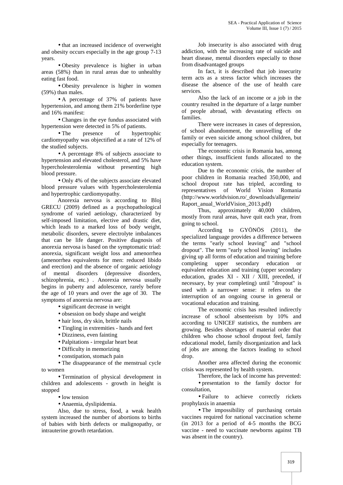• that an increased incidence of overweight and obesity occurs especially in the age group 7-13 years.

 Obesity prevalence is higher in urban areas (58%) than in rural areas due to unhealthy eating fast food.

 Obesity prevalence is higher in women (59%) than males.

 A percentage of 37% of patients have hypertension, and among them 21% borderline type and 16% manifest:

 Changes in the eye fundus associated with hypertension were detected in 5% of patients.

• The presence of hypertrophic cardiomyopathy was objectified at a rate of 12% of the studied subjects.

 A percentage 8% of subjects associate to hypertension and elevated cholesterol, and 5% have hypercholesterolemia without presenting high blood pressure.

• Only 4% of the subjects associate elevated blood pressure values with hypercholesterolemia and hypertrophic cardiomyopathy.

Anorexia nervosa is according to Bloj GRECU (2009) defined as a psychopathological syndrome of varied aetiology, characterized by self-imposed limitation, elective and drastic diet, which leads to a marked loss of body weight, metabolic disorders, severe electrolyte imbalances that can be life danger. Positive diagnosis of anorexia nervosa is based on the symptomatic triad: anorexia, significant weight loss and amenorrhea (amenorrhea equivalents for men: reduced libido and erection) and the absence of organic aetiology of mental disorders (depressive disorders, schizophrenia, etc.) . Anorexia nervosa usually begins in puberty and adolescence, rarely before the age of 10 years and over the age of 30. The symptoms of anorexia nervosa are:

• significant decrease in weight

- obsession on body shape and weight
- hair loss, dry skin, brittle nails
- Tingling in extremities hands and feet
- Dizziness, even fainting
- Palpitations irregular heart beat
- Difficulty in memorizing
- constipation, stomach pain

• The disappearance of the menstrual cycle to women

 Termination of physical development in children and adolescents - growth in height is stopped

• low tension

Anaemia, dyslipidemia.

Also, due to stress, food, a weak health system increased the number of abortions to births of babies with birth defects or malignopathy, or intrauterine growth retardation.

Job insecurity is also associated with drug addiction, with the increasing rate of suicide and heart disease, mental disorders especially to those from disadvantaged groups

In fact, it is described that job insecurity term acts as a stress factor which increases the disease the absence of the use of health care services.

Also the lack of an income or a job in the country resulted in the departure of a large number of people abroad, with devastating effects on families.

There were increases in cases of depression, of school abandonment, the unravelling of the family or even suicide among school children, but especially for teenagers.

The economic crisis in Romania has, among other things, insufficient funds allocated to the education system.

Due to the economic crisis, the number of poor children in Romania reached 350,000, and school dropout rate has tripled, according to representatives of World Vision Romania (http://www.worldvision.ro/\_downloads/allgemein/ Raport\_anual\_WorldVision\_2013.pdf)

Thus, approximately 40,000 children, mostly from rural areas, have quit each year, from going to school.

According to GYÖNÖS (2011), the specialized language provides a difference between the terms "early school leaving" and "school dropout". The term "early school leaving" includes giving up all forms of education and training before completing upper secondary education or equivalent education and training (upper secondary education, grades XI - XII / XIII, preceded, if necessary, by year completing) until "dropout" is used with a narrower sense: it refers to the interruption of an ongoing course in general or vocational education and training.

The economic crisis has resulted indirectly increase of school absenteeism by 10% and according to UNICEF statistics, the numbers are growing. Besides shortages of material order that children who choose school dropout feel, family educational model, family disorganization and lack of jobs are among the factors leading to school drop.

Another area affected during the economic crisis was represented by health system.

Therefore, the lack of income has prevented: presentation to the family doctor for

consultation, Failure to achieve correctly rickets prophylaxis in anaemia

• The impossibility of purchasing certain vaccines required for national vaccination scheme (in 2013 for a period of 4-5 months the BCG vaccine - need to vaccinate newborns against TB was absent in the country).